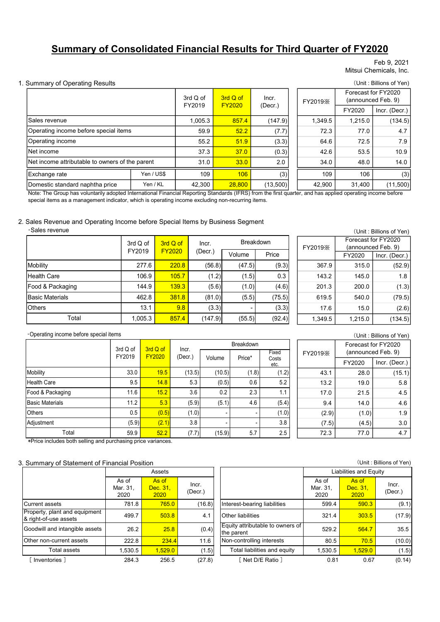# Summary of Consolidated Financial Results for Third Quarter of FY2020

#### Feb 9, 2021 Mitsui Chemicals, Inc.

#### 1. Summary of Operating Results (Unit : Billions of Yen)

|                                                 |                    |                           |                  |          |               |                  |         |         | Feb 9, 2021<br>Mitsui Chemicals, Inc.                                |
|-------------------------------------------------|--------------------|---------------------------|------------------|----------|---------------|------------------|---------|---------|----------------------------------------------------------------------|
| Summary of Operating Results                    |                    |                           |                  |          |               |                  |         |         | (Unit: Billions of Yen)                                              |
|                                                 |                    |                           |                  | 3rd Q of | 3rd Q of      | Incr.            | FY2019X |         | Forecast for FY2020<br>(announced Feb. 9)                            |
|                                                 |                    |                           |                  | FY2019   | <b>FY2020</b> | (Decr.)          |         | FY2020  | Incr. (Decr.)                                                        |
| lSales revenue                                  |                    |                           |                  | 1,005.3  | 857.4         | (147.9)          | 1,349.5 | 1,215.0 | (134.5)                                                              |
| Operating income before special items           |                    |                           |                  | 59.9     | 52.2          | (7.7)            | 72.3    | 77.0    | 4.7                                                                  |
| Operating income                                |                    |                           |                  | 55.2     | 51.9          | (3.3)            | 64.6    | 72.5    | 7.9                                                                  |
| Net income                                      |                    |                           |                  | 37.3     | 37.0          | (0.3)            | 42.6    | 53.5    | 10.9                                                                 |
| Net income attributable to owners of the parent |                    |                           |                  | 31.0     | 33.0          | 2.0              | 34.0    | 48.0    | 14.0                                                                 |
| Exchange rate                                   |                    | Yen / US\$                |                  | 109      | 106           | (3)              | 109     | 106     | (3)                                                                  |
| Domestic standard naphtha price                 |                    | Yen / KL                  |                  | 42,300   | 28,800        | (13,500)         | 42,900  | 31,400  | (11,500)                                                             |
| ·Sales revenue                                  | 3rd Q of           |                           | 3rd Q of         | Incr.    |               | <b>Breakdown</b> | FY2019X |         | (Unit: Billions of Yen)<br>Forecast for FY2020<br>(announced Feb. 9) |
|                                                 | FY2019             |                           | <b>FY2020</b>    | (Decr.)  | Volume        | Price            |         | FY2020  | Incr. (Decr.)                                                        |
| Mobility                                        |                    | 277.6                     | 220.8            | (56.8)   | (47.5)        | (9.3)            | 367.9   | 315.0   | (52.9)                                                               |
| <b>Health Care</b>                              |                    | 106.9                     | 105.7            | (1.2)    | (1.5)         | 0.3              | 143.2   | 145.0   | 1.8                                                                  |
| Food & Packaging                                |                    | 144.9                     | 139.3            | (5.6)    | (1.0)         | (4.6)            | 201.3   | 200.0   | (1.3)                                                                |
| <b>Basic Materials</b>                          |                    | 462.8                     | 381.8            | (81.0)   | (5.5)         | (75.5)           | 619.5   | 540.0   | (79.5)                                                               |
| <b>Others</b>                                   |                    | 13.1                      | 9.8              | (3.3)    |               | (3.3)            | 17.6    | 15.0    | (2.6)                                                                |
| Total                                           |                    | 1,005.3                   | 857.4            | (147.9)  | (55.5)        | (92.4)           | 1,349.5 | 1,215.0 | (134.5)                                                              |
| Operating income before special items           |                    |                           |                  |          |               |                  |         |         | (Unit: Billions of Yen)                                              |
|                                                 |                    |                           |                  |          | Breakdown     |                  |         |         | Forecast for FY2020                                                  |
|                                                 | 3rd Q of<br>FY2019 | 3rd Q of<br><b>FY2020</b> | Incr.<br>(Decr.) |          |               | Fixed            | FY2019X |         | (announced Feb. 9)                                                   |
|                                                 |                    |                           |                  | Volume   | Price*        | Costs<br>etc.    |         | FY2020  | Incr. (Decr.)                                                        |

#### 2. Sales Revenue and Operating Income before Special Items by Business Segment

| ·Sales revenue |  |
|----------------|--|
|----------------|--|

| Exchange rate                                                                                                                                                                                                                                                   |          | Yen / US\$    |               | 109     | 106        | (3)            | 109     | 106     | (3)                                       |
|-----------------------------------------------------------------------------------------------------------------------------------------------------------------------------------------------------------------------------------------------------------------|----------|---------------|---------------|---------|------------|----------------|---------|---------|-------------------------------------------|
| Domestic standard naphtha price                                                                                                                                                                                                                                 |          | Yen / KL      |               | 42,300  | 28,800     | (13,500)       | 42,900  | 31,400  | (11,500)                                  |
| Note: The Group has voluntarily adopted International Financial Reporting Standards (IFRS) from the first quarter, and has applied operating income before<br>special items as a management indicator, which is operating income excluding non-recurring items. |          |               |               |         |            |                |         |         |                                           |
| Sales Revenue and Operating Income before Special Items by Business Segment<br>·Sales revenue                                                                                                                                                                   |          |               |               |         |            |                |         |         | (Unit: Billions of Yen)                   |
|                                                                                                                                                                                                                                                                 | 3rd Q of |               | 3rd Q of      | Incr.   |            | Breakdown      | FY2019X |         | Forecast for FY2020<br>(announced Feb. 9) |
|                                                                                                                                                                                                                                                                 | FY2019   |               | <b>FY2020</b> | (Decr.) | Volume     | Price          |         | FY2020  | Incr. (Decr.)                             |
| Mobility                                                                                                                                                                                                                                                        |          | 277.6         | 220.8         | (56.8)  | (47.5)     | (9.3)          | 367.9   | 315.0   | (52.9)                                    |
| <b>Health Care</b>                                                                                                                                                                                                                                              |          | 106.9         | 105.7         | (1.2)   | (1.5)      | 0.3            | 143.2   | 145.0   | 1.8                                       |
| Food & Packaging                                                                                                                                                                                                                                                |          | 144.9         | 139.3         | (5.6)   | (1.0)      | (4.6)          | 201.3   | 200.0   | (1.3)                                     |
| <b>Basic Materials</b>                                                                                                                                                                                                                                          |          | 462.8         | 381.8         | (81.0)  | (5.5)      | (75.5)         | 619.5   | 540.0   | (79.5)                                    |
| <b>Others</b>                                                                                                                                                                                                                                                   |          | 13.1          | 9.8           | (3.3)   |            | (3.3)          | 17.6    | 15.0    | (2.6)                                     |
| Total                                                                                                                                                                                                                                                           |          | 1,005.3       | 857.4         | (147.9) | (55.5)     | (92.4)         | 1,349.5 | 1,215.0 | (134.5)                                   |
| Operating income before special items                                                                                                                                                                                                                           |          |               |               |         |            |                |         |         | (Unit: Billions of Yen)                   |
|                                                                                                                                                                                                                                                                 | 3rd Q of | 3rd Q of      | Incr.         |         | Breakdown  |                |         |         | Forecast for FY2020                       |
|                                                                                                                                                                                                                                                                 | FY2019   | <b>FY2020</b> | (Decr.)       | Volume  | Price*     | Fixed<br>Costs | FY2019X |         | (announced Feb. 9)                        |
|                                                                                                                                                                                                                                                                 |          |               |               |         |            | etc.           |         | FY2020  | Incr. (Decr.)                             |
| Mobility                                                                                                                                                                                                                                                        | 33.0     | 19.5          |               | (13.5)  | (10.5)     | (1.8)<br>(1.2) | 43.1    | 28.0    | (15.1)                                    |
| <b>Health Care</b>                                                                                                                                                                                                                                              | 9.5      | 14.8          |               | 5.3     | (0.5)      | 0.6<br>5.2     | 13.2    | 19.0    | 5.8                                       |
| Food & Packaging                                                                                                                                                                                                                                                | 11.6     | 15.2          |               | 3.6     | 0.2<br>2.3 | 1.1            | 17.0    | 21.5    | 4.5                                       |
| <b>Basic Materials</b>                                                                                                                                                                                                                                          | 11.2     | 5.3           |               | (5.9)   | (5.1)      | 4.6<br>(5.4)   | 9.4     | 14.0    | 4.6                                       |

| (Unit: Billions of Yen) |
|-------------------------|
| Forecast for FY2020     |

# ・Operating income before special items

| Domestic standard naphtha price                                                                                                                                                                                                                                 |          | Yen / KL      |               | 42,300           | 28,800            | (13,500)                         | 42,900   | 31,400                                    | (11,500)                |
|-----------------------------------------------------------------------------------------------------------------------------------------------------------------------------------------------------------------------------------------------------------------|----------|---------------|---------------|------------------|-------------------|----------------------------------|----------|-------------------------------------------|-------------------------|
| Note: The Group has voluntarily adopted International Financial Reporting Standards (IFRS) from the first quarter, and has applied operating income before<br>special items as a management indicator, which is operating income excluding non-recurring items. |          |               |               |                  |                   |                                  |          |                                           |                         |
|                                                                                                                                                                                                                                                                 |          |               |               |                  |                   |                                  |          |                                           |                         |
| Sales Revenue and Operating Income before Special Items by Business Segment                                                                                                                                                                                     |          |               |               |                  |                   |                                  |          |                                           |                         |
| ·Sales revenue                                                                                                                                                                                                                                                  |          |               |               |                  |                   |                                  |          |                                           | (Unit: Billions of Yen) |
|                                                                                                                                                                                                                                                                 |          | 3rd Q of      | 3rd Q of      |                  |                   | Breakdown                        |          | Forecast for FY2020                       |                         |
|                                                                                                                                                                                                                                                                 |          | FY2019        | <b>FY2020</b> | Incr.<br>(Decr.) |                   |                                  | FY2019X  | (announced Feb. 9)                        |                         |
|                                                                                                                                                                                                                                                                 |          |               |               |                  | Volume            | Price                            |          | FY2020                                    | Incr. (Decr.)           |
| Mobility                                                                                                                                                                                                                                                        |          | 277.6         | 220.8         | (56.8)           | (47.5)            | (9.3)                            | 367.9    | 315.0                                     | (52.9)                  |
| <b>Health Care</b>                                                                                                                                                                                                                                              |          | 106.9         | 105.7         | (1.2)            | (1.5)             | 0.3                              | 143.2    | 145.0                                     | 1.8                     |
| Food & Packaging                                                                                                                                                                                                                                                |          | 144.9         | 139.3         | (5.6)            | (1.0)             | (4.6)                            | 201.3    | 200.0                                     | (1.3)                   |
| <b>Basic Materials</b>                                                                                                                                                                                                                                          |          | 462.8         | 381.8         | (81.0)           | (5.5)             | (75.5)                           | 619.5    | 540.0                                     | (79.5)                  |
| <b>Others</b>                                                                                                                                                                                                                                                   |          | 13.1          | 9.8           | (3.3)            |                   | (3.3)                            | 17.6     | 15.0                                      | (2.6)                   |
| Total                                                                                                                                                                                                                                                           |          | 1,005.3       | 857.4         | (147.9)          | (55.5)            | (92.4)                           | 1,349.5  | 1,215.0                                   | (134.5)                 |
|                                                                                                                                                                                                                                                                 |          |               |               |                  |                   |                                  |          |                                           |                         |
| Operating income before special items                                                                                                                                                                                                                           |          |               |               |                  | Breakdown         |                                  |          |                                           | (Unit: Billions of Yen) |
|                                                                                                                                                                                                                                                                 | 3rd Q of | 3rd Q of      | Incr.         |                  |                   | Fixed                            | FY2019X  | Forecast for FY2020<br>(announced Feb. 9) |                         |
|                                                                                                                                                                                                                                                                 | FY2019   | <b>FY2020</b> | (Decr.)       | Volume           | Price*            | Costs                            |          | FY2020                                    | Incr. (Decr.)           |
| <b>Mobility</b>                                                                                                                                                                                                                                                 | 33.0     | 19.5          |               | (13.5)           | (10.5)<br>(1.8)   | etc.<br>(1.2)                    | 43.1     | 28.0                                      | (15.1)                  |
| <b>Health Care</b>                                                                                                                                                                                                                                              | 9.5      | 14.8          |               | 5.3              | (0.5)             | 0.6<br>5.2                       | 13.2     | 19.0                                      | 5.8                     |
| Food & Packaging                                                                                                                                                                                                                                                | 11.6     | 15.2          |               | 3.6              | 0.2               | 2.3<br>1.1                       | 17.0     | 21.5                                      | 4.5                     |
| <b>Basic Materials</b>                                                                                                                                                                                                                                          | 11.2     | 5.3           |               | (5.9)            | (5.1)<br>4.6      | (5.4)                            | 9.4      | 14.0                                      | 4.6                     |
| Others                                                                                                                                                                                                                                                          | 0.5      | (0.5)         |               | (1.0)            |                   | (1.0)                            | (2.9)    | (1.0)                                     | 1.9                     |
| Adjustment                                                                                                                                                                                                                                                      | (5.9)    | (2.1)         |               | 3.8              |                   | 3.8                              | (7.5)    | (4.5)                                     | $3.0\,$                 |
| Total                                                                                                                                                                                                                                                           | 59.9     | 52.2          |               | (7.7)            | (15.9)            | 5.7<br>$2.5\,$                   | 72.3     | 77.0                                      | 4.7                     |
| *Price includes both selling and purchasing price variances.                                                                                                                                                                                                    |          |               |               |                  |                   |                                  |          |                                           |                         |
|                                                                                                                                                                                                                                                                 |          |               |               |                  |                   |                                  |          |                                           |                         |
| Summary of Statement of Financial Position                                                                                                                                                                                                                      |          |               |               |                  |                   |                                  |          |                                           | (Unit: Billions of Yen) |
|                                                                                                                                                                                                                                                                 |          | Assets        |               |                  |                   |                                  |          | <b>Liabilities and Equity</b>             |                         |
|                                                                                                                                                                                                                                                                 | As of    | As of         |               |                  |                   |                                  | As of    | As of                                     |                         |
|                                                                                                                                                                                                                                                                 | Mar. 31, | Dec. 31,      |               | Incr.<br>(Decr.) |                   |                                  | Mar. 31, | Dec. 31,                                  | Incr.<br>(Decr.)        |
|                                                                                                                                                                                                                                                                 | 2020     | 2020          |               | (16.8)           |                   | Interest-bearing liabilities     | 2020     | 2020<br>590.3                             |                         |
|                                                                                                                                                                                                                                                                 |          |               |               |                  |                   |                                  | 599.4    |                                           | (9.1)                   |
| <b>Current assets</b>                                                                                                                                                                                                                                           | 781.8    |               | 765.0         |                  |                   |                                  |          |                                           |                         |
| Property, plant and equipment                                                                                                                                                                                                                                   | 499.7    |               | 503.8         | 4.1              | Other liabilities |                                  | 321.4    | $303.5$                                   | (17.9)                  |
| Goodwill and intangible assets                                                                                                                                                                                                                                  | 26.2     |               | 25.8          | (0.4)            |                   | Equity attributable to owners of | 529.2    | 564.7                                     | 35.5                    |
| & right-of-use assets<br>Other non-current assets                                                                                                                                                                                                               | 222.8    |               | 234.4         | 11.6             | the parent        | Non-controlling interests        | 80.5     | 70.5                                      | (10.0)                  |
| Total assets                                                                                                                                                                                                                                                    | 1,530.5  | 1,529.0       |               | (1.5)            |                   | Total liabilities and equity     | 1,530.5  | 1,529.0                                   | (1.5)                   |

#### 3. Summary of Statement of Financial Position

|                                                        |                           | Assets                    |                  |                                                |                           | Liabilities and Equity    |                  |
|--------------------------------------------------------|---------------------------|---------------------------|------------------|------------------------------------------------|---------------------------|---------------------------|------------------|
|                                                        | As of<br>Mar. 31,<br>2020 | As of<br>Dec. 31,<br>2020 | Incr.<br>(Decr.) |                                                | As of<br>Mar. 31,<br>2020 | As of<br>Dec. 31,<br>2020 | Incr.<br>(Decr.) |
| Current assets                                         | 781.8                     | 765.0                     | (16.8)           | Interest-bearing liabilities                   | 599.4                     | 590.3                     | (S               |
| Property, plant and equipment<br>& right-of-use assets | 499.7                     | 503.8                     | 4.1              | <b>Other liabilities</b>                       | 321.4                     | 303.5                     | (17)             |
| Goodwill and intangible assets                         | 26.2                      | 25.8                      | (0.4)            | Equity attributable to owners of<br>the parent | 529.2                     | 564.7                     | 35               |
| <b>IOther non-current assets</b>                       | 222.8                     | 234.4                     | 11.6             | Non-controlling interests                      | 80.5                      | 70.5                      | (10              |
| Total assets                                           | 1,530.5                   | 1,529.0                   | (1.5)            | Total liabilities and equity                   | 1,530.5                   | 1,529.0                   | (1)              |
| Inventories 1                                          | 284.3                     | 256.5                     | (27.8)           | Net D/E Ratio 1                                | 0.81                      | 0.67                      | (0.              |

| ry of Statement of Financial Position |                           |                           |                  |                                                |                           |                           | (Unit: Billions of Yen) |
|---------------------------------------|---------------------------|---------------------------|------------------|------------------------------------------------|---------------------------|---------------------------|-------------------------|
|                                       |                           | Assets                    |                  |                                                | Liabilities and Equity    |                           |                         |
|                                       | As of<br>Mar. 31,<br>2020 | As of<br>Dec. 31,<br>2020 | Incr.<br>(Decr.) |                                                | As of<br>Mar. 31.<br>2020 | As of<br>Dec. 31,<br>2020 | Incr.<br>(Decr.)        |
| ssets                                 | 781.8                     | 765.0                     | (16.8)           | Interest-bearing liabilities                   | 599.4                     | 590.3                     | (9.1)                   |
| plant and equipment<br>use assets     | 499.7                     | 503.8                     | 4.1              | <b>Other liabilities</b>                       | 321.4                     | 303.5                     | (17.9)                  |
| and intangible assets                 | 26.2                      | 25.8                      | (0.4)            | Equity attributable to owners of<br>the parent | 529.2                     | 564.7                     | 35.5                    |
| -current assets                       | 222.8                     | 234.4                     | 11.6             | Non-controlling interests                      | 80.5                      | 70.5                      | (10.0)                  |
| Total assets                          | 1,530.5                   | 1,529.0                   | (1.5)            | Total liabilities and equity                   | 1,530.5                   | ,529.0                    | (1.5)                   |
| ories 1:                              | 284.3                     | 256.5                     | (27.8)           | [Net D/E Ratio ]                               | 0.81                      | 0.67                      | (0.14)                  |
|                                       |                           |                           |                  |                                                |                           |                           |                         |

| FY2019 <sup>X</sup> | (announced Feb. 9) |               |
|---------------------|--------------------|---------------|
|                     | FY2020             | Incr. (Decr.) |
| 43.1                | 28.0               | (15.1)        |
| 13.2                | 19.0               | 5.8           |
| 17.0                | 21.5               | 4.5           |
| 9.4                 | 14.0               | 4.6           |
| (2.9)               | (1.0)              | 1.9           |
| (7.5)               | (4.5)              | 3.0           |
| 72.3                | 77.0               | 4.7           |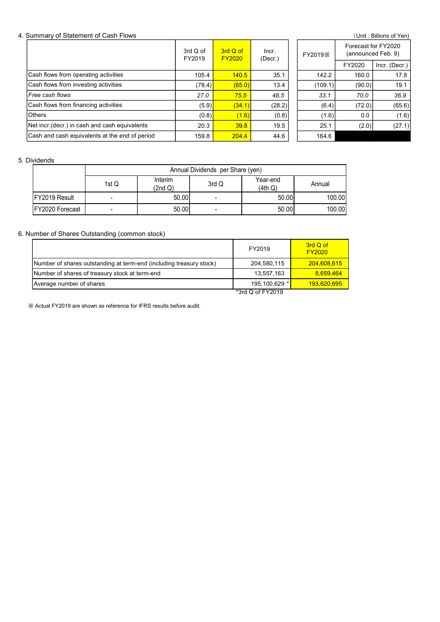#### 4. Summary of Statement of Cash Flows (Unit : Billions of Yen)

| Summary of Statement of Cash Flows                                                                                                                                                               |                          |                  |                    |                                           |                                                      |                                                                      |                    | (Unit: Billions of Yen) |
|--------------------------------------------------------------------------------------------------------------------------------------------------------------------------------------------------|--------------------------|------------------|--------------------|-------------------------------------------|------------------------------------------------------|----------------------------------------------------------------------|--------------------|-------------------------|
|                                                                                                                                                                                                  |                          |                  | 3rd Q of<br>FY2019 | 3rd Q of<br>FY2020                        | Incr.<br>(Decr.)                                     | FY2019X                                                              | (announced Feb. 9) | Forecast for FY2020     |
|                                                                                                                                                                                                  |                          |                  |                    |                                           |                                                      |                                                                      | FY2020             | Incr. (Decr.)           |
| Cash flows from operating activities                                                                                                                                                             |                          |                  | 105.4              | 140.5                                     | 35.1                                                 | 142.2                                                                | 160.0              | 17.8                    |
| Cash flows from investing activities                                                                                                                                                             |                          |                  | (78.4)             | (65.0)                                    | 13.4                                                 | (109.1)                                                              | (90.0)             | 19.1                    |
| Free cash flows                                                                                                                                                                                  |                          |                  | 27.0               | 75.5                                      | 48.5                                                 | 33.1                                                                 | 70.0               | 36.9                    |
| Cash flows from financing activities                                                                                                                                                             |                          |                  | (5.9)              | (34.1)                                    | (28.2)                                               | (6.4)                                                                | (72.0)             | (65.6)                  |
| Others                                                                                                                                                                                           |                          |                  | (0.8)              | (1.6)                                     | (0.8)                                                | (1.6)                                                                | 0.0                | (1.6)                   |
| Net incr. (decr.) in cash and cash equivalents                                                                                                                                                   |                          |                  | 20.3               | 39.8                                      | 19.5                                                 | 25.1                                                                 | (2.0)              | (27.1)                  |
| Cash and cash equivalents at the end of period                                                                                                                                                   |                          |                  |                    |                                           |                                                      | 164.6                                                                |                    |                         |
|                                                                                                                                                                                                  |                          |                  | 159.8              | 204.4                                     | 44.6                                                 |                                                                      |                    |                         |
| Dividends                                                                                                                                                                                        | 1st Q                    | Interim          |                    | Annual Dividends per Share (yen)<br>3rd Q | Year-end                                             | Annual                                                               |                    |                         |
| FY2019 Result                                                                                                                                                                                    | $\blacksquare$           | (2nd Q)<br>50.00 |                    | $\blacksquare$                            | (4th Q)<br>50.00                                     | 100.00                                                               |                    |                         |
| FY2020 Forecast                                                                                                                                                                                  | $\overline{\phantom{a}}$ | 50.00            |                    | $\overline{\phantom{a}}$                  | 50.00                                                | 100.00                                                               |                    |                         |
| Number of Shares Outstanding (common stock)<br>Number of shares outstanding at term-end (including treasury stock)<br>Number of shares of treasury stock at term-end<br>Average number of shares |                          |                  |                    |                                           | FY2019<br>204,580,115<br>13,557,163<br>195,100,629 * | 3rd Q of<br><b>FY2020</b><br>204,608,615<br>8,659,464<br>193,620,695 |                    |                         |

#### 5. Dividends

|                       | Annual Dividends per Share (yen) |                    |                |                     |        |  |  |  |  |  |  |
|-----------------------|----------------------------------|--------------------|----------------|---------------------|--------|--|--|--|--|--|--|
|                       | 1st Q                            | Interim<br>(2nd Q) | 3rd Q          | Year-end<br>(4th Q) | Annual |  |  |  |  |  |  |
| <b>IFY2019 Result</b> | -                                | 50.00              | $\blacksquare$ | 50.00               | 100.00 |  |  |  |  |  |  |
| IFY2020 Forecast      | ۰                                | 50.00              | $\blacksquare$ | 50.00               | 100.00 |  |  |  |  |  |  |

## 6. Number of Shares Outstanding (common stock)

| Free cash flows                                                     |       |                    | 27.0  | 75.5                             | 48.5                              | 33.1                      | 70.0   | 36.9   |
|---------------------------------------------------------------------|-------|--------------------|-------|----------------------------------|-----------------------------------|---------------------------|--------|--------|
| Cash flows from financing activities                                |       |                    | (5.9) | (34.1)                           | (28.2)                            | (6.4)                     | (72.0) | (65.6) |
| <b>Others</b>                                                       |       |                    | (0.8) | (1.6)                            | (0.8)                             | (1.6)                     | 0.0    | (1.6)  |
| Net incr.(decr.) in cash and cash equivalents                       |       |                    | 20.3  | 39.8                             | 19.5                              | 25.1                      | (2.0)  | (27.1) |
| Cash and cash equivalents at the end of period                      |       |                    | 159.8 | 204.4                            | 44.6<br>164.6                     |                           |        |        |
|                                                                     |       |                    |       |                                  |                                   |                           |        |        |
| ividends                                                            |       |                    |       |                                  |                                   |                           |        |        |
|                                                                     |       |                    |       | Annual Dividends per Share (yen) |                                   |                           |        |        |
|                                                                     | 1st Q | Interim<br>(2nd Q) |       | 3rd Q                            | Year-end<br>(4th Q)               | Annual                    |        |        |
| FY2019 Result                                                       |       | 50.00              |       | $\overline{\phantom{a}}$         | 50.00                             | 100.00                    |        |        |
|                                                                     |       |                    |       |                                  |                                   |                           |        |        |
| FY2020 Forecast                                                     |       | 50.00              |       | $\overline{\phantom{a}}$         | 50.00                             | 100.00                    |        |        |
| umber of Shares Outstanding (common stock)                          |       |                    |       |                                  | FY2019                            | 3rd Q of<br><b>FY2020</b> |        |        |
| Number of shares outstanding at term-end (including treasury stock) |       |                    |       |                                  | 204,580,115                       | 204,608,615               |        |        |
| Number of shares of treasury stock at term-end                      |       |                    |       |                                  | 13,557,163                        | 8,659,464                 |        |        |
| Average number of shares                                            |       |                    |       |                                  | 195,100,629 *<br>*3rd Q of FY2019 | 193,620,695               |        |        |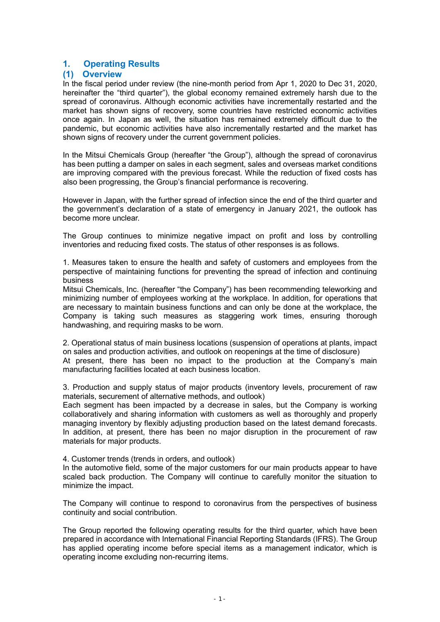# 1. Operating Results

## (1) Overview

In the fiscal period under review (the nine-month period from Apr 1, 2020 to Dec 31, 2020, hereinafter the "third quarter"), the global economy remained extremely harsh due to the spread of coronavirus. Although economic activities have incrementally restarted and the market has shown signs of recovery, some countries have restricted economic activities once again. In Japan as well, the situation has remained extremely difficult due to the pandemic, but economic activities have also incrementally restarted and the market has shown signs of recovery under the current government policies.

In the Mitsui Chemicals Group (hereafter "the Group"), although the spread of coronavirus has been putting a damper on sales in each segment, sales and overseas market conditions are improving compared with the previous forecast. While the reduction of fixed costs has also been progressing, the Group's financial performance is recovering.

However in Japan, with the further spread of infection since the end of the third quarter and the government's declaration of a state of emergency in January 2021, the outlook has become more unclear.

The Group continues to minimize negative impact on profit and loss by controlling inventories and reducing fixed costs. The status of other responses is as follows.

1. Measures taken to ensure the health and safety of customers and employees from the perspective of maintaining functions for preventing the spread of infection and continuing business

Mitsui Chemicals, Inc. (hereafter "the Company") has been recommending teleworking and minimizing number of employees working at the workplace. In addition, for operations that are necessary to maintain business functions and can only be done at the workplace, the Company is taking such measures as staggering work times, ensuring thorough handwashing, and requiring masks to be worn.

2. Operational status of main business locations (suspension of operations at plants, impact on sales and production activities, and outlook on reopenings at the time of disclosure) At present, there has been no impact to the production at the Company's main manufacturing facilities located at each business location.

3. Production and supply status of major products (inventory levels, procurement of raw materials, securement of alternative methods, and outlook)

Each segment has been impacted by a decrease in sales, but the Company is working collaboratively and sharing information with customers as well as thoroughly and properly managing inventory by flexibly adjusting production based on the latest demand forecasts. In addition, at present, there has been no major disruption in the procurement of raw materials for major products.

4. Customer trends (trends in orders, and outlook)

In the automotive field, some of the major customers for our main products appear to have scaled back production. The Company will continue to carefully monitor the situation to minimize the impact.

The Company will continue to respond to coronavirus from the perspectives of business continuity and social contribution.

The Group reported the following operating results for the third quarter, which have been prepared in accordance with International Financial Reporting Standards (IFRS). The Group has applied operating income before special items as a management indicator, which is operating income excluding non-recurring items.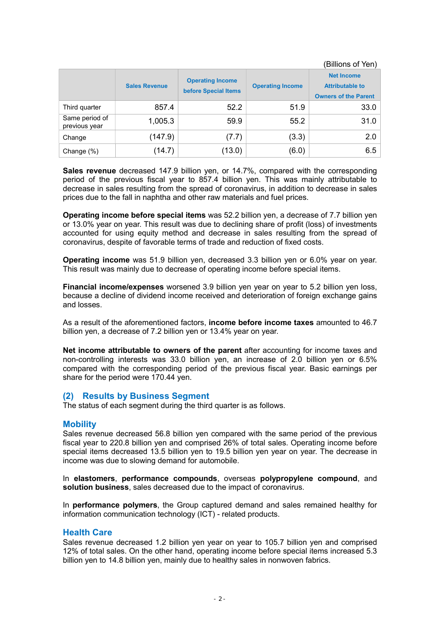(Billions of Yen)

|                                 | <b>Sales Revenue</b> | <b>Operating Income</b><br>before Special Items | <b>Operating Income</b> | <b>Net Income</b><br><b>Attributable to</b><br><b>Owners of the Parent</b> |
|---------------------------------|----------------------|-------------------------------------------------|-------------------------|----------------------------------------------------------------------------|
| Third quarter                   | 857.4                | 52.2                                            | 51.9                    | 33.0                                                                       |
| Same period of<br>previous year | 1,005.3              | 59.9                                            | 55.2                    | 31.0                                                                       |
| Change                          | (147.9)              | (7.7)                                           | (3.3)                   | 2.0                                                                        |
| Change (%)                      | (14.7)               | (13.0)                                          | (6.0)                   | 6.5                                                                        |

Sales revenue decreased 147.9 billion yen, or 14.7%, compared with the corresponding period of the previous fiscal year to 857.4 billion yen. This was mainly attributable to decrease in sales resulting from the spread of coronavirus, in addition to decrease in sales prices due to the fall in naphtha and other raw materials and fuel prices.

Operating income before special items was 52.2 billion yen, a decrease of 7.7 billion yen or 13.0% year on year. This result was due to declining share of profit (loss) of investments accounted for using equity method and decrease in sales resulting from the spread of coronavirus, despite of favorable terms of trade and reduction of fixed costs.

Operating income was 51.9 billion yen, decreased 3.3 billion yen or 6.0% year on year. This result was mainly due to decrease of operating income before special items.

Financial income/expenses worsened 3.9 billion yen year on year to 5.2 billion yen loss, because a decline of dividend income received and deterioration of foreign exchange gains and losses.

As a result of the aforementioned factors, income before income taxes amounted to 46.7 billion yen, a decrease of 7.2 billion yen or 13.4% year on year.

Net income attributable to owners of the parent after accounting for income taxes and non-controlling interests was 33.0 billion yen, an increase of 2.0 billion yen or 6.5% compared with the corresponding period of the previous fiscal year. Basic earnings per share for the period were 170.44 yen.

## (2) Results by Business Segment

The status of each segment during the third quarter is as follows.

## **Mobility**

Sales revenue decreased 56.8 billion yen compared with the same period of the previous fiscal year to 220.8 billion yen and comprised 26% of total sales. Operating income before special items decreased 13.5 billion yen to 19.5 billion yen year on year. The decrease in income was due to slowing demand for automobile.

In elastomers, performance compounds, overseas polypropylene compound, and solution business, sales decreased due to the impact of coronavirus.

In performance polymers, the Group captured demand and sales remained healthy for information communication technology (ICT) - related products.

## Health Care

Sales revenue decreased 1.2 billion yen year on year to 105.7 billion yen and comprised 12% of total sales. On the other hand, operating income before special items increased 5.3 billion yen to 14.8 billion yen, mainly due to healthy sales in nonwoven fabrics.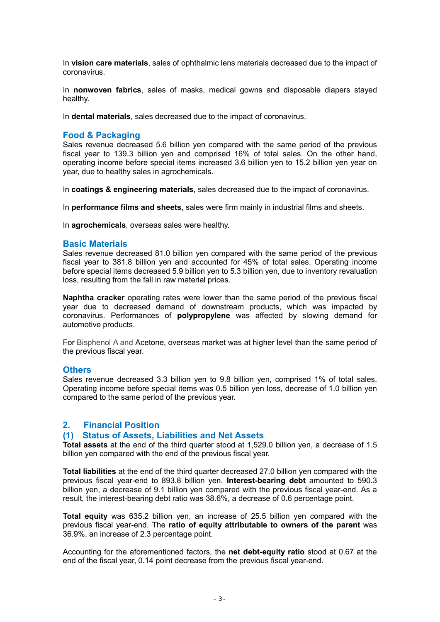In vision care materials, sales of ophthalmic lens materials decreased due to the impact of coronavirus.

In nonwoven fabrics, sales of masks, medical gowns and disposable diapers stayed healthy.

In dental materials, sales decreased due to the impact of coronavirus.

## Food & Packaging

Sales revenue decreased 5.6 billion yen compared with the same period of the previous fiscal year to 139.3 billion yen and comprised 16% of total sales. On the other hand, operating income before special items increased 3.6 billion yen to 15.2 billion yen year on year, due to healthy sales in agrochemicals.

In coatings & engineering materials, sales decreased due to the impact of coronavirus.

In performance films and sheets, sales were firm mainly in industrial films and sheets.

In agrochemicals, overseas sales were healthy.

## Basic Materials

Sales revenue decreased 81.0 billion yen compared with the same period of the previous fiscal year to 381.8 billion yen and accounted for 45% of total sales. Operating income before special items decreased 5.9 billion yen to 5.3 billion yen, due to inventory revaluation loss, resulting from the fall in raw material prices.

Naphtha cracker operating rates were lower than the same period of the previous fiscal year due to decreased demand of downstream products, which was impacted by coronavirus. Performances of polypropylene was affected by slowing demand for automotive products.

For Bisphenol A and Acetone, overseas market was at higher level than the same period of the previous fiscal year.

#### **Others**

Sales revenue decreased 3.3 billion yen to 9.8 billion yen, comprised 1% of total sales. Operating income before special items was 0.5 billion yen loss, decrease of 1.0 billion yen compared to the same period of the previous year.

## 2. Financial Position

#### (1) Status of Assets, Liabilities and Net Assets

Total assets at the end of the third quarter stood at 1,529.0 billion yen, a decrease of 1.5 billion yen compared with the end of the previous fiscal year.

Total liabilities at the end of the third quarter decreased 27.0 billion yen compared with the previous fiscal year-end to 893.8 billion yen. Interest-bearing debt amounted to 590.3 billion yen, a decrease of 9.1 billion yen compared with the previous fiscal year-end. As a result, the interest-bearing debt ratio was 38.6%, a decrease of 0.6 percentage point.

Total equity was 635.2 billion yen, an increase of 25.5 billion yen compared with the previous fiscal year-end. The ratio of equity attributable to owners of the parent was 36.9%, an increase of 2.3 percentage point.

Accounting for the aforementioned factors, the net debt-equity ratio stood at 0.67 at the end of the fiscal year, 0.14 point decrease from the previous fiscal year-end.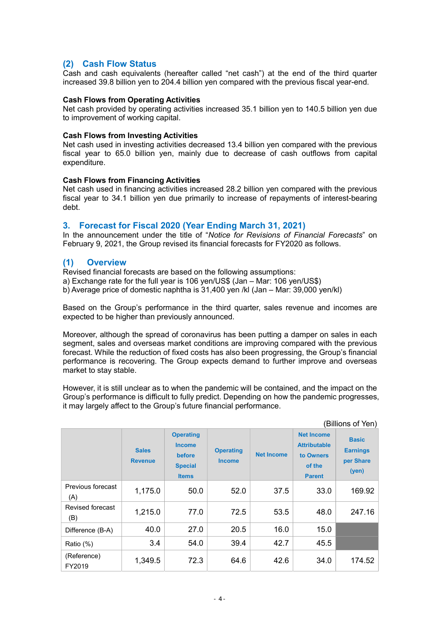# (2) Cash Flow Status

Cash and cash equivalents (hereafter called "net cash") at the end of the third quarter increased 39.8 billion yen to 204.4 billion yen compared with the previous fiscal year-end.

## Cash Flows from Operating Activities

Net cash provided by operating activities increased 35.1 billion yen to 140.5 billion yen due to improvement of working capital.

## Cash Flows from Investing Activities

Net cash used in investing activities decreased 13.4 billion yen compared with the previous fiscal year to 65.0 billion yen, mainly due to decrease of cash outflows from capital expenditure.

## Cash Flows from Financing Activities

Net cash used in financing activities increased 28.2 billion yen compared with the previous fiscal year to 34.1 billion yen due primarily to increase of repayments of interest-bearing debt.

## 3. Forecast for Fiscal 2020 (Year Ending March 31, 2021)

In the announcement under the title of "Notice for Revisions of Financial Forecasts" on February 9, 2021, the Group revised its financial forecasts for FY2020 as follows.

## (1) Overview

Revised financial forecasts are based on the following assumptions:

a) Exchange rate for the full year is 106 yen/US\$ (Jan – Mar: 106 yen/US\$)

b) Average price of domestic naphtha is 31,400 yen /kl (Jan – Mar: 39,000 yen/kl)

Based on the Group's performance in the third quarter, sales revenue and incomes are expected to be higher than previously announced.

Moreover, although the spread of coronavirus has been putting a damper on sales in each segment, sales and overseas market conditions are improving compared with the previous forecast. While the reduction of fixed costs has also been progressing, the Group's financial performance is recovering. The Group expects demand to further improve and overseas market to stay stable.

However, it is still unclear as to when the pandemic will be contained, and the impact on the Group's performance is difficult to fully predict. Depending on how the pandemic progresses, it may largely affect to the Group's future financial performance.

|                          | (Billions of Yen)              |                                                                               |                                   |                   |                                                                                  |                                                       |
|--------------------------|--------------------------------|-------------------------------------------------------------------------------|-----------------------------------|-------------------|----------------------------------------------------------------------------------|-------------------------------------------------------|
|                          | <b>Sales</b><br><b>Revenue</b> | <b>Operating</b><br><b>Income</b><br>before<br><b>Special</b><br><b>Items</b> | <b>Operating</b><br><b>Income</b> | <b>Net Income</b> | <b>Net Income</b><br><b>Attributable</b><br>to Owners<br>of the<br><b>Parent</b> | <b>Basic</b><br><b>Earnings</b><br>per Share<br>(yen) |
| Previous forecast<br>(A) | 1,175.0                        | 50.0                                                                          | 52.0                              | 37.5              | 33.0                                                                             | 169.92                                                |
| Revised forecast<br>(B)  | 1,215.0                        | 77.0                                                                          | 72.5                              | 53.5              | 48.0                                                                             | 247.16                                                |
| Difference (B-A)         | 40.0                           | 27.0                                                                          | 20.5                              | 16.0              | 15.0                                                                             |                                                       |
| Ratio (%)                | 3.4                            | 54.0                                                                          | 39.4                              | 42.7              | 45.5                                                                             |                                                       |
| (Reference)<br>FY2019    | 1,349.5                        | 72.3                                                                          | 64.6                              | 42.6              | 34.0                                                                             | 174.52                                                |